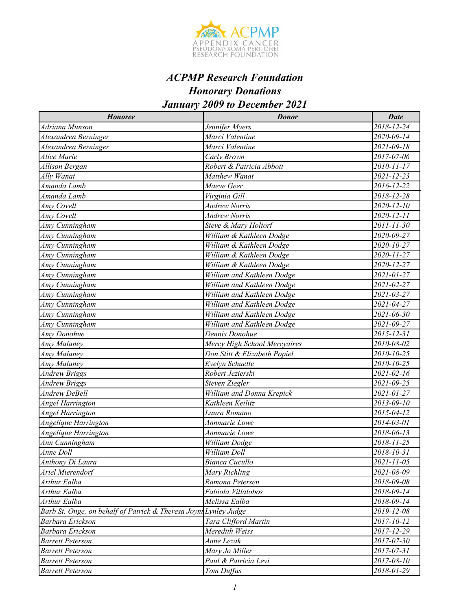

#### *Honoree Donor Date Adriana Munson Jennifer Myers 2018-12-24 Alexandrea Berninger Marci Valentine 2020-09-14 Alexandrea Berninger Marci Valentine 2021-09-18 Alice Marie Carly Brown 2017-07-06 Allison Bergan Robert & Patricia Abbott 2010-11-17 Ally Wanat Matthew Wanat 2021-12-23 Amanda Lamb Maeve Geer 2016-12-22 Amanda Lamb Virginia Gill 2018-12-28 Amy Covell Andrew Norris 2020-12-10 Amy Covell Andrew Norris 2020-12-11 Amy Cunningham Steve & Mary Holtorf 2011-11-30 Amy Cunningham William & Kathleen Dodge 2020-09-27 Amy Cunningham William & Kathleen Dodge 2020-10-27 Amy Cunningham William & Kathleen Dodge 2020-11-27 Amy Cunningham William & Kathleen Dodge 2020-12-27 Amy Cunningham William and Kathleen Dodge 2021-01-27 Amy Cunningham William and Kathleen Dodge 2021-02-27 Amy Cunningham William and Kathleen Dodge 2021-03-27 Amy Cunningham William and Kathleen Dodge 2021-04-27 Amy Cunningham William and Kathleen Dodge 2021-06-30 Amy Cunningham William and Kathleen Dodge 2021-09-27 Amy Donohue Dennis Donohue 2015-12-31 Amy Malaney Mercy High School Mercyaires 2010-08-02 Amy Malaney Don Stitt & Elizabeth Popiel 2010-10-25 Amy Malaney Evelyn Schuette 2010-10-25 Andrew Briggs Robert Jezierski 2021-02-16 Andrew Briggs Steven Ziegler 2021-09-25 Andrew DeBell William and Donna Krepick 2021-01-27 Angel Harrington Kathleen Keilitz 2013-09-10 Angel Harrington Laura Romano 2015-04-12 Angelique Harrington Annmarie Lowe 2014-03-01 Angelique Harrington Annmarie Lowe 2018-06-13 Ann Cunningham William Dodge 2018-11-25 Anne Doll William Doll 2018-10-31 Anthony Di Laura Bianca Cucullo 2021-11-05 Ariel Mierendorf Mary Richling 2021-08-09 Arthur Ealba Ramona Petersen 2018-09-08 Arthur Ealba Fabiola Villalobos 2018-09-14 Arthur Ealba Melissa Ealba 2018-09-14 Barb St. Onge, on behalf of Patrick & Theresa Joynt Lynley Judge 2019-12-08 Barbara Erickson Tara Clifford Martin 2017-10-12 Barbara Erickson Meredith Weiss 2017-12-29 Barrett Peterson Anne Lezak 2017-07-30 Barrett Peterson Mary Jo Miller 2017-07-31 Barrett Peterson Paul & Patricia Levi 2017-08-10 Barrett Peterson Tom Duffus 2018-01-29*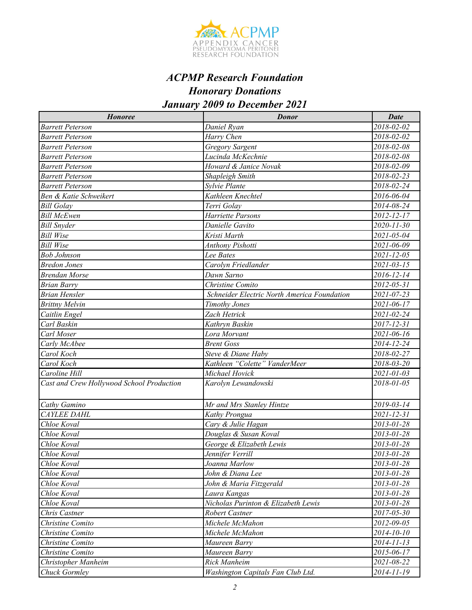

#### *Honoree Donor Date Barrett Peterson Daniel Ryan 2018-02-02 Barrett Peterson Harry Chen 2018-02-02 Barrett Peterson Gregory Sargent 2018-02-08 Barrett Peterson Lucinda McKechnie 2018-02-08 Barrett Peterson Howard & Janice Novak 2018-02-09 Barrett Peterson Shapleigh Smith 2018-02-23 Barrett Peterson Sylvie Plante 2018-02-24 Ben & Katie Schweikert Kathleen Knechtel 2016-06-04 Bill Golay Terri Golay 2014-08-24 Bill McEwen Harriette Parsons 2012-12-17 Bill Snyder Danielle Gavito 2020-11-30 Bill Wise Kristi Marth 2021-05-04 Bill Wise Anthony Pishotti 2021-06-09 Bob Johnson Lee Bates 2021-12-05 Bredon Jones Carolyn Friedlander 2021-03-15 Brendan Morse Dawn Sarno 2016-12-14 Brian Barry Christine Comito 2012-05-31 Brian Hensler Schneider Electric North America Foundation 2021-07-23 Brittny Melvin Timothy Jones 2021-06-17 Caitlin Engel Zach Hetrick 2021-02-24 Carl Baskin Kathryn Baskin 2017-12-31 Carl Moser Lora Morvant 2021-06-16 Carly McAbee Brent Goss 2014-12-24 Carol Koch Steve & Diane Haby 2018-02-27 Carol Koch Kathleen "Colette" VanderMeer 2018-03-20 Caroline Hill Michael Hovick 2021-01-03 Cast and Crew Hollywood School Production Karolyn Lewandowski 2018-01-05 Cathy Gamino Mr and Mrs Stanley Hintze 2019-03-14 CAYLEE DAHL Kathy Prongua 2021-12-31 Chloe Koval Cary & Julie Hagan 2013-01-28 Chloe Koval Douglas & Susan Koval 2013-01-28 Chloe Koval George & Elizabeth Lewis 2013-01-28 Chloe Koval Jennifer Verrill 2013-01-28 Chloe Koval Joanna Marlow 2013-01-28 Chloe Koval John & Diana Lee 2013-01-28 Chloe Koval John & Maria Fitzgerald 2013-01-28 Chloe Koval Laura Kangas 2013-01-28 Chloe Koval Nicholas Purinton & Elizabeth Lewis 2013-01-28 Chris Castner Robert Castner 2017-05-30 Christine Comito Michele McMahon 2012-09-05 Christine Comito Michele McMahon 2014-10-10 Christine Comito Maureen Barry 2014-11-13 Christine Comito Maureen Barry 2015-06-17 Christopher Manheim Rick Manheim 2021-08-22 Chuck Gormley Washington Capitals Fan Club Ltd. 2014-11-19*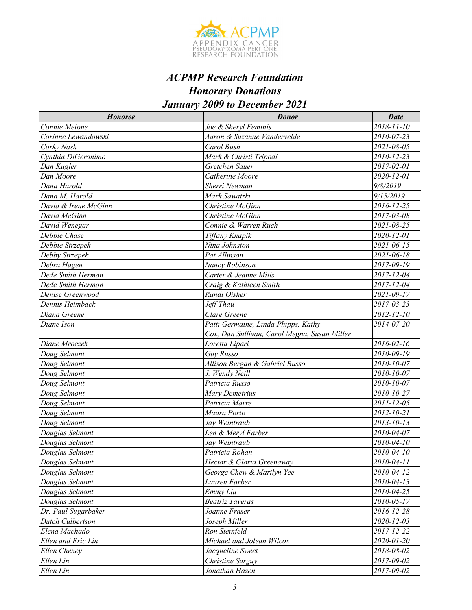

| <b>Honoree</b>       | <b>Donor</b>                                 | <b>Date</b> |
|----------------------|----------------------------------------------|-------------|
| Connie Melone        | Joe & Sheryl Feminis                         | 2018-11-10  |
| Corinne Lewandowski  | Aaron & Suzanne Vandervelde                  | 2010-07-23  |
| Corky Nash           | Carol Bush                                   | 2021-08-05  |
| Cynthia DiGeronimo   | Mark & Christi Tripodi                       | 2010-12-23  |
| Dan Kugler           | Gretchen Sauer                               | 2017-02-01  |
| Dan Moore            | Catherine Moore                              | 2020-12-01  |
| Dana Harold          | Sherri Newman                                | 9/8/2019    |
| Dana M. Harold       | Mark Sawatzki                                | 9/15/2019   |
| David & Irene McGinn | Christine McGinn                             | 2016-12-25  |
| David McGinn         | Christine McGinn                             | 2017-03-08  |
| David Wenegar        | Connie & Warren Ruch                         | 2021-08-25  |
| Debbie Chase         | Tiffany Knapik                               | 2020-12-01  |
| Debbie Strzepek      | Nina Johnston                                | 2021-06-15  |
| Debby Strzepek       | Pat Allinson                                 | 2021-06-18  |
| Debra Hagen          | Nancy Robinson                               | 2017-09-19  |
| Dede Smith Hermon    | Carter & Jeanne Mills                        | 2017-12-04  |
| Dede Smith Hermon    | Craig & Kathleen Smith                       | 2017-12-04  |
| Denise Greenwood     | Randi Oisher                                 | 2021-09-17  |
| Dennis Heimback      | Jeff Thau                                    | 2017-03-23  |
| Diana Greene         | Clare Greene                                 | 2012-12-10  |
| Diane Ison           | Patti Germaine, Linda Phipps, Kathy          | 2014-07-20  |
|                      | Cox, Dan Sullivan, Carol Megna, Susan Miller |             |
| Diane Mroczek        | Loretta Lipari                               | 2016-02-16  |
| Doug Selmont         | <b>Guy Russo</b>                             | 2010-09-19  |
| Doug Selmont         | Allison Bergan & Gabriel Russo               | 2010-10-07  |
| Doug Selmont         | J. Wendy Neill                               | 2010-10-07  |
| Doug Selmont         | Patricia Russo                               | 2010-10-07  |
| Doug Selmont         | Mary Demetrius                               | 2010-10-27  |
| Doug Selmont         | Patricia Marre                               | 2011-12-05  |
| Doug Selmont         | Maura Porto                                  | 2012-10-21  |
| Doug Selmont         | Jay Weintraub                                | 2013-10-13  |
| Douglas Selmont      | Len & Meryl Farber                           | 2010-04-07  |
| Douglas Selmont      | Jay Weintraub                                | 2010-04-10  |
| Douglas Selmont      | Patricia Rohan                               | 2010-04-10  |
| Douglas Selmont      | Hector & Gloria Greenaway                    | 2010-04-11  |
| Douglas Selmont      | George Chew & Marilyn Yee                    | 2010-04-12  |
| Douglas Selmont      | Lauren Farber                                | 2010-04-13  |
| Douglas Selmont      | Emmy Liu                                     | 2010-04-25  |
| Douglas Selmont      | <b>Beatriz Taveras</b>                       | 2010-05-17  |
| Dr. Paul Sugarbaker  | Joanne Fraser                                | 2016-12-28  |
| Dutch Culbertson     | Joseph Miller                                | 2020-12-03  |
| Elena Machado        | Ron Steinfeld                                | 2017-12-22  |
| Ellen and Eric Lin   | Michael and Jolean Wilcox                    | 2020-01-20  |
| Ellen Cheney         | Jacqueline Sweet                             | 2018-08-02  |
| Ellen Lin            | Christine Surguy                             | 2017-09-02  |
| Ellen Lin            | Jonathan Hazen                               | 2017-09-02  |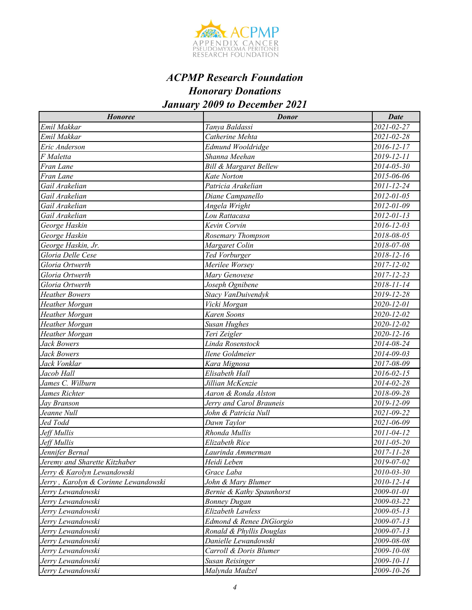

| <b>Honoree</b>                       | <b>Donor</b>                      | <b>Date</b>      |
|--------------------------------------|-----------------------------------|------------------|
| Emil Makkar                          | Tanya Baldassi                    | 2021-02-27       |
| Emil Makkar                          | Catherine Mehta                   | 2021-02-28       |
| Eric Anderson                        | Edmund Wooldridge                 | 2016-12-17       |
| F Maletta                            | Shanna Meehan                     | 2019-12-11       |
| Fran Lane                            | <b>Bill &amp; Margaret Bellew</b> | 2014-05-30       |
| Fran Lane                            | Kate Norton                       | 2015-06-06       |
| Gail Arakelian                       | Patricia Arakelian                | 2011-12-24       |
| Gail Arakelian                       | Diane Campanello                  | 2012-01-05       |
| Gail Arakelian                       | Angela Wright                     | 2012-01-09       |
| Gail Arakelian                       | Lou Rattacasa                     | $2012 - 01 - 13$ |
| George Haskin                        | Kevin Corvin                      | 2016-12-03       |
| George Haskin                        | Rosemary Thompson                 | 2018-08-05       |
| George Haskin, Jr.                   | Margaret Colin                    | 2018-07-08       |
| Gloria Delle Cese                    | Ted Vorburger                     | 2018-12-16       |
| Gloria Ortwerth                      | Merilee Worsey                    | 2017-12-02       |
| Gloria Ortwerth                      | Mary Genovese                     | 2017-12-23       |
| Gloria Ortwerth                      | Joseph Ognibene                   | 2018-11-14       |
| <b>Heather Bowers</b>                | Stacy VanDuivendyk                | 2019-12-28       |
| Heather Morgan                       | Vicki Morgan                      | 2020-12-01       |
| Heather Morgan                       | Karen Soons                       | 2020-12-02       |
| Heather Morgan                       | <b>Susan Hughes</b>               | 2020-12-02       |
| Heather Morgan                       | Teri Zeigler                      | 2020-12-16       |
| Jack Bowers                          | Linda Rosenstock                  | 2014-08-24       |
| Jack Bowers                          | Ilene Goldmeier                   | 2014-09-03       |
| Jack Vonklar                         | Kara Mignosa                      | 2017-08-09       |
| Jacob Hall                           | Elisabeth Hall                    | 2016-02-15       |
| James C. Wilburn                     | Jillian McKenzie                  | 2014-02-28       |
| James Richter                        | Aaron & Ronda Alston              | 2018-09-28       |
| Jay Branson                          | Jerry and Carol Brauneis          | 2019-12-09       |
| Jeanne Null                          | John & Patricia Null              | 2021-09-22       |
| Jed Todd                             | Dawn Taylor                       | 2021-06-09       |
| Jeff Mullis                          | Rhonda Mullis                     | 2011-04-12       |
| Jeff Mullis                          | Elizabeth Rice                    | 2011-05-20       |
| Jennifer Bernal                      | Laurinda Ammerman                 | 2017-11-28       |
| Jeremy and Sharette Kitzhaber        | Heidi Leben                       | 2019-07-02       |
| Jerry & Karolyn Lewandowski          | Grace Laba                        | 2010-03-30       |
| Jerry, Karolyn & Corinne Lewandowski | John & Mary Blumer                | 2010-12-14       |
| Jerry Lewandowski                    | Bernie & Kathy Spaunhorst         | 2009-01-01       |
| Jerry Lewandowski                    | <b>Bonney Dugan</b>               | 2009-03-22       |
| Jerry Lewandowski                    | Elizabeth Lawless                 | $2009 - 05 - 13$ |
| Jerry Lewandowski                    | Edmond & Renee DiGiorgio          | 2009-07-13       |
| Jerry Lewandowski                    | Ronald & Phyllis Douglas          | 2009-07-13       |
| Jerry Lewandowski                    | Danielle Lewandowski              | 2009-08-08       |
| Jerry Lewandowski                    | Carroll & Doris Blumer            | 2009-10-08       |
| Jerry Lewandowski                    | Susan Reisinger                   | 2009-10-11       |
| Jerry Lewandowski                    | Malynda Madzel                    | 2009-10-26       |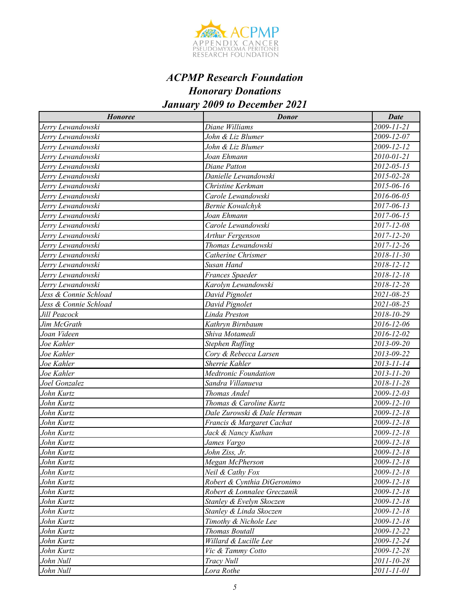

| <b>Honoree</b>        | <b>Donor</b>                | <b>Date</b> |
|-----------------------|-----------------------------|-------------|
| Jerry Lewandowski     | Diane Williams              | 2009-11-21  |
| Jerry Lewandowski     | John & Liz Blumer           | 2009-12-07  |
| Jerry Lewandowski     | John & Liz Blumer           | 2009-12-12  |
| Jerry Lewandowski     | Joan Ehmann                 | 2010-01-21  |
| Jerry Lewandowski     | Diane Patton                | 2012-05-15  |
| Jerry Lewandowski     | Danielle Lewandowski        | 2015-02-28  |
| Jerry Lewandowski     | Christine Kerkman           | 2015-06-16  |
| Jerry Lewandowski     | Carole Lewandowski          | 2016-06-05  |
| Jerry Lewandowski     | <b>Bernie Kowalchyk</b>     | 2017-06-13  |
| Jerry Lewandowski     | Joan Ehmann                 | 2017-06-15  |
| Jerry Lewandowski     | Carole Lewandowski          | 2017-12-08  |
| Jerry Lewandowski     | Arthur Fergenson            | 2017-12-20  |
| Jerry Lewandowski     | Thomas Lewandowski          | 2017-12-26  |
| Jerry Lewandowski     | Catherine Chrismer          | 2018-11-30  |
| Jerry Lewandowski     | Susan Hand                  | 2018-12-12  |
| Jerry Lewandowski     | Frances Spaeder             | 2018-12-18  |
| Jerry Lewandowski     | Karolyn Lewandowski         | 2018-12-28  |
| Jess & Connie Schload | David Pignolet              | 2021-08-25  |
| Jess & Connie Schload | David Pignolet              | 2021-08-25  |
| Jill Peacock          | Linda Preston               | 2018-10-29  |
| Jim McGrath           | Kathryn Birnbaum            | 2016-12-06  |
| Joan Videen           | Shiva Motamedi              | 2016-12-02  |
| Joe Kahler            | <b>Stephen Ruffing</b>      | 2013-09-20  |
| Joe Kahler            | Cory & Rebecca Larsen       | 2013-09-22  |
| Joe Kahler            | Sherrie Kahler              | 2013-11-14  |
| Joe Kahler            | Medtronic Foundation        | 2013-11-20  |
| Joel Gonzalez         | Sandra Villanueva           | 2018-11-28  |
| John Kurtz            | Thomas Andel                | 2009-12-03  |
| John Kurtz            | Thomas & Caroline Kurtz     | 2009-12-10  |
| John Kurtz            | Dale Zurowski & Dale Herman | 2009-12-18  |
| John Kurtz            | Francis & Margaret Cachat   | 2009-12-18  |
| John Kurtz            | Jack & Nancy Kuthan         | 2009-12-18  |
| John Kurtz            | James Vargo                 | 2009-12-18  |
| John Kurtz            | John Ziss, Jr.              | 2009-12-18  |
| John Kurtz            | Megan McPherson             | 2009-12-18  |
| John Kurtz            | Neil & Cathy Fox            | 2009-12-18  |
| John Kurtz            | Robert & Cynthia DiGeronimo | 2009-12-18  |
| John Kurtz            | Robert & Lonnalee Greczanik | 2009-12-18  |
| John Kurtz            | Stanley & Evelyn Skoczen    | 2009-12-18  |
| John Kurtz            | Stanley & Linda Skoczen     | 2009-12-18  |
| John Kurtz            | Timothy & Nichole Lee       | 2009-12-18  |
| John Kurtz            | <b>Thomas Boutall</b>       | 2009-12-22  |
| John Kurtz            | Willard & Lucille Lee       | 2009-12-24  |
| John Kurtz            | Vic & Tammy Cotto           | 2009-12-28  |
| John Null             | Tracy Null                  | 2011-10-28  |
| John Null             | Lora Rothe                  | 2011-11-01  |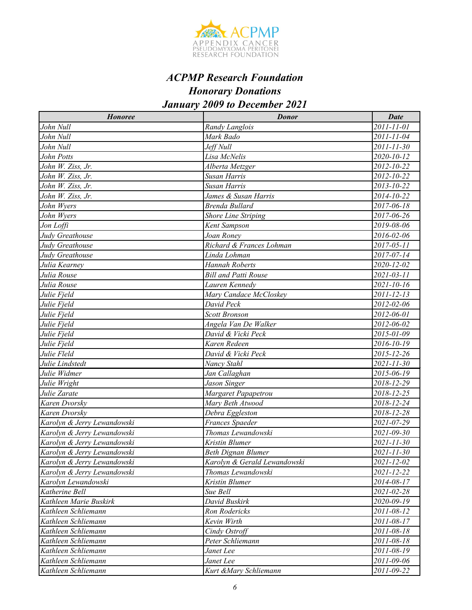

# *ACPMP Research Foundation*

*Honorary Donations*

## *January 2009 to December 2021*

| <b>Honoree</b>              | <b>Donor</b>                 | <b>Date</b>      |
|-----------------------------|------------------------------|------------------|
| John Null                   | Randy Langlois               | 2011-11-01       |
| John Null                   | Mark Bado                    | 2011-11-04       |
| John Null                   | Jeff Null                    | 2011-11-30       |
| John Potts                  | Lisa McNelis                 | 2020-10-12       |
| John W. Ziss, Jr.           | Alberta Metzger              | 2012-10-22       |
| John W. Ziss, Jr.           | Susan Harris                 | 2012-10-22       |
| John W. Ziss, Jr.           | Susan Harris                 | 2013-10-22       |
| John W. Ziss, Jr.           | James & Susan Harris         | 2014-10-22       |
| John Wyers                  | Brenda Bullard               | 2017-06-18       |
| John Wyers                  | <b>Shore Line Striping</b>   | 2017-06-26       |
| Jon Loffi                   | Kent Sampson                 | 2019-08-06       |
| Judy Greathouse             | Joan Roney                   | 2016-02-06       |
| Judy Greathouse             | Richard & Frances Lohman     | 2017-05-11       |
| Judy Greathouse             | Linda Lohman                 | 2017-07-14       |
| Julia Kearney               | <b>Hannah Roberts</b>        | 2020-12-02       |
| Julia Rouse                 | <b>Bill and Patti Rouse</b>  | 2021-03-11       |
| Julia Rouse                 | Lauren Kennedy               | $2021 - 10 - 16$ |
| Julie Fjeld                 | Mary Candace McCloskey       | 2011-12-13       |
| Julie Fjeld                 | David Peck                   | 2012-02-06       |
| Julie Fjeld                 | <b>Scott Bronson</b>         | 2012-06-01       |
| Julie Fjeld                 | Angela Van De Walker         | 2012-06-02       |
| Julie Fjeld                 | David & Vicki Peck           | 2015-01-09       |
| Julie Fjeld                 | Karen Redeen                 | 2016-10-19       |
| Julie Fleld                 | David & Vicki Peck           | 2015-12-26       |
| Julie Lindstedt             | Nancy Stahl                  | $2021 - 11 - 30$ |
| Julie Widmer                | Jan Callaghan                | 2015-06-19       |
| Julie Wright                | Jason Singer                 | 2018-12-29       |
| Julie Zarate                | Margaret Papapetrou          | 2018-12-25       |
| Karen Dvorsky               | Mary Beth Atwood             | 2018-12-24       |
| Karen Dvorsky               | Debra Eggleston              | 2018-12-28       |
| Karolyn & Jerry Lewandowski | Frances Spaeder              | 2021-07-29       |
| Karolyn & Jerry Lewandowski | Thomas Lewandowski           | 2021-09-30       |
| Karolyn & Jerry Lewandowski | Kristin Blumer               | 2021-11-30       |
| Karolyn & Jerry Lewandowski | <b>Beth Dignan Blumer</b>    | 2021-11-30       |
| Karolyn & Jerry Lewandowski | Karolyn & Gerald Lewandowski | 2021-12-02       |
| Karolyn & Jerry Lewandowski | Thomas Lewandowski           | 2021-12-22       |
| Karolyn Lewandowski         | Kristin Blumer               | 2014-08-17       |
| Katherine Bell              | Sue Bell                     | 2021-02-28       |
| Kathleen Marie Buskirk      | David Buskirk                | 2020-09-19       |
| Kathleen Schliemann         | Ron Rodericks                | 2011-08-12       |
| Kathleen Schliemann         | Kevin Wirth                  | 2011-08-17       |
| Kathleen Schliemann         | Cindy Ostroff                | 2011-08-18       |
| Kathleen Schliemann         | Peter Schliemann             | 2011-08-18       |
| Kathleen Schliemann         | Janet Lee                    | 2011-08-19       |
| Kathleen Schliemann         | Janet Lee                    | 2011-09-06       |
| Kathleen Schliemann         | Kurt &Mary Schliemann        | 2011-09-22       |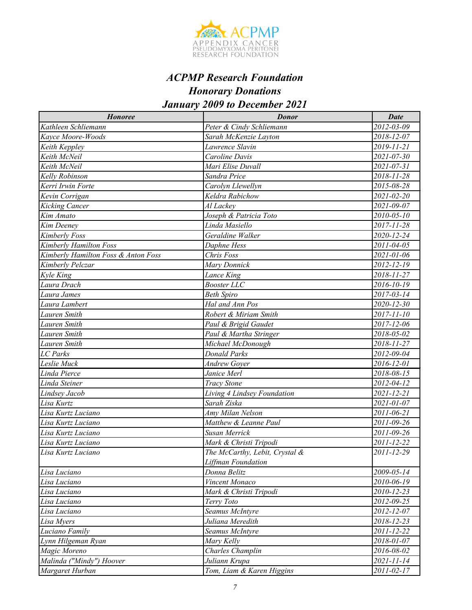

| <b>Honoree</b>                      | <b>Donor</b>                   | Date       |
|-------------------------------------|--------------------------------|------------|
| Kathleen Schliemann                 | Peter & Cindy Schliemann       | 2012-03-09 |
| Kayce Moore-Woods                   | Sarah McKenzie Layton          | 2018-12-07 |
| Keith Keppley                       | Lawrence Slavin                | 2019-11-21 |
| Keith McNeil                        | Caroline Davis                 | 2021-07-30 |
| Keith McNeil                        | Mari Elise Duvall              | 2021-07-31 |
| Kelly Robinson                      | Sandra Price                   | 2018-11-28 |
| Kerri Irwin Forte                   | Carolyn Llewellyn              | 2015-08-28 |
| Kevin Corrigan                      | Keldra Rabichow                | 2021-02-20 |
| <b>Kicking Cancer</b>               | Al Lackey                      | 2021-09-07 |
| Kim Amato                           | Joseph & Patricia Toto         | 2010-05-10 |
| Kim Deeney                          | Linda Masiello                 | 2017-11-28 |
| Kimberly Foss                       | Geraldine Walker               | 2020-12-24 |
| Kimberly Hamilton Foss              | Daphne Hess                    | 2011-04-05 |
| Kimberly Hamilton Foss & Anton Foss | Chris Foss                     | 2021-01-06 |
| Kimberly Pelczar                    | Mary Donnick                   | 2012-12-19 |
| Kyle King                           | Lance King                     | 2018-11-27 |
| Laura Drach                         | <b>Booster LLC</b>             | 2016-10-19 |
| Laura James                         | <b>Beth Spiro</b>              | 2017-03-14 |
| Laura Lambert                       | Hal and Ann Pos                | 2020-12-30 |
| Lauren Smith                        | Robert & Miriam Smith          | 2017-11-10 |
| Lauren Smith                        | Paul & Brigid Gaudet           | 2017-12-06 |
| Lauren Smith                        | Paul & Martha Stringer         | 2018-05-02 |
| Lauren Smith                        | Michael McDonough              | 2018-11-27 |
| <b>LC</b> Parks                     | <b>Donald Parks</b>            | 2012-09-04 |
| Leslie Muck                         | <b>Andrew Gover</b>            | 2016-12-01 |
| Linda Pierce                        | Janice Merl                    | 2018-08-15 |
| Linda Steiner                       | <b>Tracy Stone</b>             | 2012-04-12 |
| Lindsey Jacob                       | Living 4 Lindsey Foundation    | 2021-12-21 |
| Lisa Kurtz                          | Sarah Ziska                    | 2021-01-07 |
| Lisa Kurtz Luciano                  | Amy Milan Nelson               | 2011-06-21 |
| Lisa Kurtz Luciano                  | Matthew & Leanne Paul          | 2011-09-26 |
| Lisa Kurtz Luciano                  | Susan Merrick                  | 2011-09-26 |
| Lisa Kurtz Luciano                  | Mark & Christi Tripodi         | 2011-12-22 |
| Lisa Kurtz Luciano                  | The McCarthy, Lebit, Crystal & | 2011-12-29 |
|                                     | Liffman Foundation             |            |
| Lisa Luciano                        | Donna Belitz                   | 2009-05-14 |
| Lisa Luciano                        | Vincent Monaco                 | 2010-06-19 |
| Lisa Luciano                        | Mark & Christi Tripodi         | 2010-12-23 |
| Lisa Luciano                        | Terry Toto                     | 2012-09-25 |
| Lisa Luciano                        | Seamus McIntyre                | 2012-12-07 |
| Lisa Myers                          | Juliana Meredith               | 2018-12-23 |
| Luciano Family                      | Seamus McIntyre                | 2011-12-22 |
| Lynn Hilgeman Ryan                  | Mary Kelly                     | 2018-01-07 |
| Magic Moreno                        | Charles Champlin               | 2016-08-02 |
| Malinda ("Mindy") Hoover            | Juliann Krupa                  | 2021-11-14 |
| Margaret Hurban                     | Tom, Liam & Karen Higgins      | 2011-02-17 |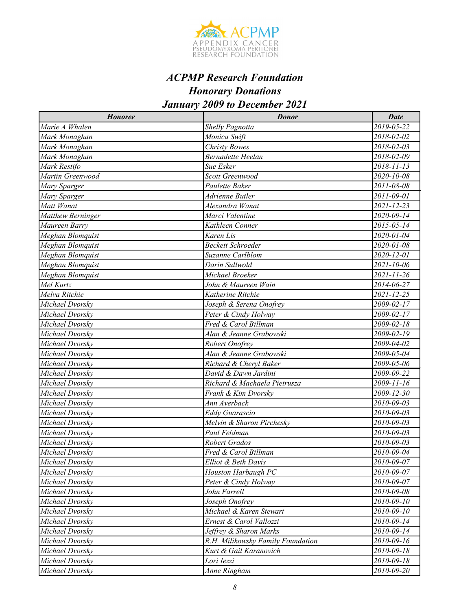

| <b>Honoree</b>    | <b>Donor</b>                      | <b>Date</b>      |
|-------------------|-----------------------------------|------------------|
| Marie A Whalen    | <b>Shelly Pagnotta</b>            | 2019-05-22       |
| Mark Monaghan     | Monica Swift                      | 2018-02-02       |
| Mark Monaghan     | <b>Christy Bowes</b>              | 2018-02-03       |
| Mark Monaghan     | <b>Bernadette Heelan</b>          | 2018-02-09       |
| Mark Restifo      | Sue Esker                         | 2018-11-13       |
| Martin Greenwood  | Scott Greenwood                   | 2020-10-08       |
| Mary Sparger      | Paulette Baker                    | 2011-08-08       |
| Mary Sparger      | Adrienne Butler                   | 2011-09-01       |
| Matt Wanat        | Alexandra Wanat                   | $2021 - 12 - 23$ |
| Matthew Berninger | Marci Valentine                   | 2020-09-14       |
| Maureen Barry     | Kathleen Conner                   | 2015-05-14       |
| Meghan Blomquist  | Karen Lis                         | 2020-01-04       |
| Meghan Blomquist  | <b>Beckett Schroeder</b>          | 2020-01-08       |
| Meghan Blomquist  | Suzanne Carlblom                  | 2020-12-01       |
| Meghan Blomquist  | Darin Sullwold                    | 2021-10-06       |
| Meghan Blomquist  | Michael Broeker                   | 2021-11-26       |
| Mel Kurtz         | John & Maureen Wain               | 2014-06-27       |
| Melva Ritchie     | Katherine Ritchie                 | 2021-12-25       |
| Michael Dvorsky   | Joseph & Serena Onofrey           | 2009-02-17       |
| Michael Dvorsky   | Peter & Cindy Holway              | 2009-02-17       |
| Michael Dvorsky   | Fred & Carol Billman              | 2009-02-18       |
| Michael Dvorsky   | Alan & Jeanne Grabowski           | 2009-02-19       |
| Michael Dvorsky   | Robert Onofrey                    | 2009-04-02       |
| Michael Dvorsky   | Alan & Jeanne Grabowski           | 2009-05-04       |
| Michael Dvorsky   | Richard & Cheryl Baker            | 2009-05-06       |
| Michael Dvorsky   | David & Dawn Jardini              | $2009 - 09 - 22$ |
| Michael Dvorsky   | Richard & Machaela Pietrusza      | 2009-11-16       |
| Michael Dvorsky   | Frank & Kim Dvorsky               | 2009-12-30       |
| Michael Dvorsky   | Ann Averback                      | 2010-09-03       |
| Michael Dvorsky   | <b>Eddy Guarascio</b>             | 2010-09-03       |
| Michael Dvorsky   | Melvin & Sharon Pirchesky         | 2010-09-03       |
| Michael Dvorsky   | Paul Feldman                      | 2010-09-03       |
| Michael Dvorsky   | Robert Grados                     | 2010-09-03       |
| Michael Dvorskv   | Fred & Carol Billman              | 2010-09-04       |
| Michael Dvorsky   | Elliot & Beth Davis               | 2010-09-07       |
| Michael Dvorsky   | Houston Harbaugh PC               | 2010-09-07       |
| Michael Dvorsky   | Peter & Cindy Holway              | 2010-09-07       |
| Michael Dvorsky   | John Farrell                      | 2010-09-08       |
| Michael Dvorsky   | Joseph Onofrey                    | 2010-09-10       |
| Michael Dvorsky   | Michael & Karen Stewart           | 2010-09-10       |
| Michael Dvorsky   | Ernest & Carol Vallozzi           | 2010-09-14       |
| Michael Dvorsky   | Jeffrey & Sharon Marks            | 2010-09-14       |
| Michael Dvorsky   | R.H. Milikowsky Family Foundation | 2010-09-16       |
| Michael Dvorsky   | Kurt & Gail Karanovich            | 2010-09-18       |
| Michael Dvorsky   | Lori Iezzi                        | 2010-09-18       |
| Michael Dvorsky   | Anne Ringham                      | 2010-09-20       |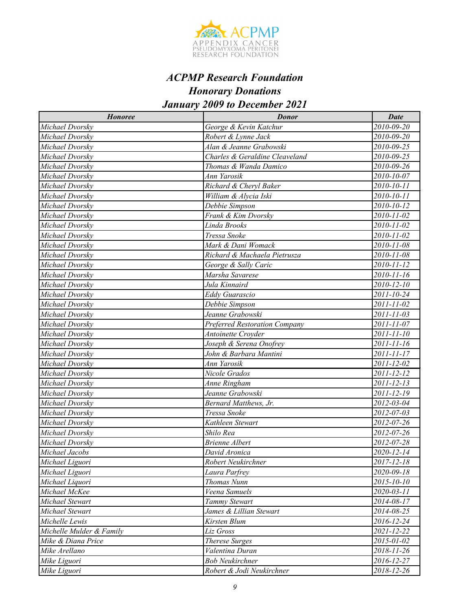

| <b>Honoree</b>           | <b>Donor</b>                         | <b>Date</b>      |
|--------------------------|--------------------------------------|------------------|
| Michael Dvorsky          | George & Kevin Katchur               | 2010-09-20       |
| Michael Dvorskv          | Robert & Lynne Jack                  | 2010-09-20       |
| Michael Dvorsky          | Alan & Jeanne Grabowski              | 2010-09-25       |
| Michael Dvorsky          | Charles & Geraldine Cleaveland       | 2010-09-25       |
| Michael Dvorsky          | Thomas & Wanda Damico                | 2010-09-26       |
| Michael Dvorsky          | Ann Yarosik                          | 2010-10-07       |
| Michael Dvorsky          | Richard & Cheryl Baker               | 2010-10-11       |
| Michael Dvorsky          | William & Alycia Iski                | 2010-10-11       |
| Michael Dvorsky          | Debbie Simpson                       | 2010-10-12       |
| Michael Dvorsky          | Frank & Kim Dvorsky                  | 2010-11-02       |
| Michael Dvorsky          | Linda Brooks                         | 2010-11-02       |
| Michael Dvorsky          | Tressa Snoke                         | 2010-11-02       |
| Michael Dvorsky          | Mark & Dani Womack                   | 2010-11-08       |
| Michael Dvorsky          | Richard & Machaela Pietrusza         | 2010-11-08       |
| Michael Dvorsky          | George & Sally Caric                 | 2010-11-12       |
| Michael Dvorsky          | Marsha Savarese                      | $2010 - 11 - 16$ |
| Michael Dvorskv          | Jula Kinnaird                        | 2010-12-10       |
| Michael Dvorskv          | Eddy Guarascio                       | 2011-10-24       |
| Michael Dvorsky          | Debbie Simpson                       | 2011-11-02       |
| Michael Dvorsky          | Jeanne Grabowski                     | 2011-11-03       |
| Michael Dvorsky          | <b>Preferred Restoration Company</b> | 2011-11-07       |
| Michael Dvorsky          | Antoinette Croyder                   | 2011-11-10       |
| Michael Dvorsky          | Joseph & Serena Onofrey              | 2011-11-16       |
| Michael Dvorsky          | John & Barbara Mantini               | 2011-11-17       |
| Michael Dvorskv          | Ann Yarosik                          | 2011-12-02       |
| Michael Dvorsky          | Nicole Grados                        | 2011-12-12       |
| Michael Dvorskv          | Anne Ringham                         | 2011-12-13       |
| Michael Dvorsky          | Jeanne Grabowski                     | 2011-12-19       |
| Michael Dvorsky          | Bernard Matthews, Jr.                | 2012-03-04       |
| Michael Dvorsky          | Tressa Snoke                         | 2012-07-03       |
| Michael Dvorsky          | Kathleen Stewart                     | 2012-07-26       |
| Michael Dvorsky          | Shilo Rea                            | 2012-07-26       |
| Michael Dvorskv          | <b>Brienne Albert</b>                | 2012-07-28       |
| Michael Jacobs           | David Aronica                        | 2020-12-14       |
| Michael Liguori          | Robert Neukirchner                   | 2017-12-18       |
| Michael Liguori          | Laura Parfrey                        | 2020-09-18       |
| Michael Liquori          | Thomas Nunn                          | 2015-10-10       |
| Michael McKee            | Veena Samuels                        | 2020-03-11       |
| Michael Stewart          | Tammy Stewart                        | 2014-08-17       |
| Michael Stewart          | James & Lillian Stewart              | 2014-08-25       |
| Michelle Lewis           | Kirsten Blum                         | 2016-12-24       |
| Michelle Mulder & Family | Liz Gross                            | 2021-12-22       |
| Mike & Diana Price       | Therese Surges                       | 2015-01-02       |
| Mike Arellano            | Valentina Duran                      | 2018-11-26       |
| Mike Liguori             | <b>Bob Neukirchner</b>               | 2016-12-27       |
| Mike Liguori             | Robert & Jodi Neukirchner            | 2018-12-26       |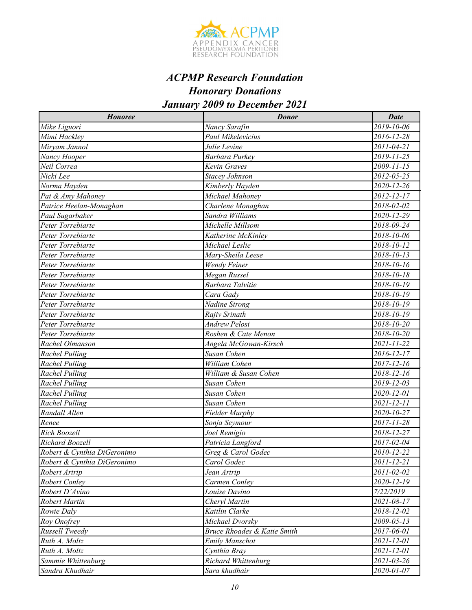

| <b>Honoree</b>              | <b>Donor</b>                | <b>Date</b>      |
|-----------------------------|-----------------------------|------------------|
| Mike Liguori                | Nancy Sarafin               | 2019-10-06       |
| Mimi Hackley                | Paul Mikelevicius           | 2016-12-28       |
| Miryam Jannol               | Julie Levine                | 2011-04-21       |
| Nancy Hooper                | Barbara Purkey              | 2019-11-25       |
| Neil Correa                 | Kevin Graves                | 2009-11-15       |
| Nicki Lee                   | Stacey Johnson              | 2012-05-25       |
| Norma Hayden                | Kimberly Hayden             | 2020-12-26       |
| Pat & Amy Mahoney           | Michael Mahonev             | 2012-12-17       |
| Patrice Heelan-Monaghan     | Charlene Monaghan           | 2018-02-02       |
| Paul Sugarbaker             | Sandra Williams             | 2020-12-29       |
| Peter Torrebiarte           | Michelle Millsom            | 2018-09-24       |
| Peter Torrebiarte           | Katherine McKinley          | 2018-10-06       |
| Peter Torrebiarte           | Michael Leslie              | 2018-10-12       |
| Peter Torrebiarte           | Mary-Sheila Leese           | 2018-10-13       |
| Peter Torrebiarte           | Wendy Feiner                | 2018-10-16       |
| Peter Torrebiarte           | Megan Russel                | 2018-10-18       |
| Peter Torrebiarte           | Barbara Talvitie            | 2018-10-19       |
| Peter Torrebiarte           | Cara Gady                   | 2018-10-19       |
| Peter Torrebiarte           | Nadine Strong               | 2018-10-19       |
| Peter Torrebiarte           | Rajiv Srinath               | 2018-10-19       |
| Peter Torrebiarte           | Andrew Pelosi               | 2018-10-20       |
| Peter Torrebiarte           | Roshen & Cate Menon         | 2018-10-20       |
| Rachel Olmanson             | Angela McGowan-Kirsch       | 2021-11-22       |
| <b>Rachel Pulling</b>       | Susan Cohen                 | 2016-12-17       |
| <b>Rachel Pulling</b>       | William Cohen               | 2017-12-16       |
| Rachel Pulling              | William & Susan Cohen       | 2018-12-16       |
| <b>Rachel Pulling</b>       | Susan Cohen                 | 2019-12-03       |
| <b>Rachel Pulling</b>       | Susan Cohen                 | 2020-12-01       |
| <b>Rachel Pulling</b>       | Susan Cohen                 | 2021-12-11       |
| Randall Allen               | Fielder Murphy              | 2020-10-27       |
| Renee                       | Sonja Seymour               | 2017-11-28       |
| Rich Boozell                | Joel Remigio                | 2018-12-27       |
| Richard Boozell             | Patricia Langford           | 2017-02-04       |
| Robert & Cynthia DiGeronimo | Greg & Carol Godec          | 2010-12-22       |
| Robert & Cynthia DiGeronimo | Carol Godec                 | 2011-12-21       |
| Robert Artrip               | Jean Artrip                 | 2011-02-02       |
| Robert Conley               | Carmen Conley               | 2020-12-19       |
| Robert D'Avino              | Louise Davino               | 7/22/2019        |
| Robert Martin               | Cheryl Martin               | 2021-08-17       |
| Rowie Daly                  | Kaitlin Clarke              | 2018-12-02       |
| Roy Onofrey                 | Michael Dvorsky             | $2009 - 05 - 13$ |
| Russell Tweedy              | Bruce Rhoades & Katie Smith | 2017-06-01       |
| Ruth A. Moltz               | Emily Manschot              | 2021-12-01       |
| Ruth A. Moltz               | Cynthia Bray                | 2021-12-01       |
| Sammie Whittenburg          | Richard Whittenburg         | 2021-03-26       |
| Sandra Khudhair             | Sara khudhair               | 2020-01-07       |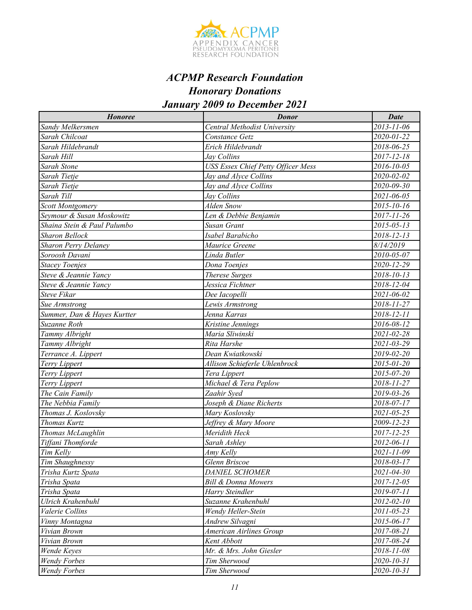

| <b>Honoree</b>              | <b>Donor</b>                       | <b>Date</b>      |
|-----------------------------|------------------------------------|------------------|
| Sandy Melkersmen            | Central Methodist University       | 2013-11-06       |
| Sarah Chilcoat              | Constance Getz                     | 2020-01-22       |
| Sarah Hildebrandt           | Erich Hildebrandt                  | 2018-06-25       |
| Sarah Hill                  | Jay Collins                        | 2017-12-18       |
| <b>Sarah Stone</b>          | USS Essex Chief Petty Officer Mess | 2016-10-05       |
| Sarah Tietje                | Jay and Alyce Collins              | 2020-02-02       |
| Sarah Tietje                | Jay and Alyce Collins              | 2020-09-30       |
| Sarah Till                  | Jay Collins                        | 2021-06-05       |
| Scott Montgomery            | Alden Snow                         | $2015 - 10 - 16$ |
| Seymour & Susan Moskowitz   | Len & Debbie Benjamin              | 2017-11-26       |
| Shaina Stein & Paul Palumbo | Susan Grant                        | 2015-05-13       |
| <b>Sharon Bellock</b>       | Isabel Barabicho                   | 2018-12-13       |
| <b>Sharon Perry Delaney</b> | Maurice Greene                     | 8/14/2019        |
| Soroosh Davani              | Linda Butler                       | 2010-05-07       |
| <b>Stacey Toenjes</b>       | Dona Toenjes                       | 2020-12-29       |
| Steve & Jeannie Yancy       | <b>Therese Surges</b>              | 2018-10-13       |
| Steve & Jeannie Yancy       | Jessica Fichtner                   | 2018-12-04       |
| <b>Steve Fikar</b>          | Dee Iacopelli                      | 2021-06-02       |
| Sue Armstrong               | Lewis Armstrong                    | 2018-11-27       |
| Summer, Dan & Hayes Kurtter | Jenna Karras                       | 2018-12-11       |
| Suzanne Roth                | Kristine Jennings                  | 2016-08-12       |
| Tammy Albright              | Maria Sliwinski                    | 2021-02-28       |
| Tammy Albright              | Rita Harshe                        | 2021-03-29       |
| Terrance A. Lippert         | Dean Kwiatkowski                   | 2019-02-20       |
| Terry Lippert               | Allison Schieferle Uhlenbrock      | 2015-01-20       |
| Terry Lippert               | Tera Lippert                       | 2015-07-20       |
| Terry Lippert               | Michael & Tera Peplow              | 2018-11-27       |
| The Cain Family             | Zaahir Syed                        | 2019-03-26       |
| The Nebbia Family           | Joseph & Diane Richerts            | 2018-07-17       |
| Thomas J. Koslovsky         | Mary Koslovsky                     | $2021 - 05 - 25$ |
| Thomas Kurtz                | Jeffrey & Mary Moore               | 2009-12-23       |
| Thomas McLaughlin           | Meridith Heck                      | 2017-12-25       |
| Tiffani Thomforde           | Sarah Ashley                       | 2012-06-11       |
| Tim Kelly                   | Amy Kelly                          | 2021-11-09       |
| Tim Shaughnessy             | Glenn Briscoe                      | 2018-03-17       |
| Trisha Kurtz Spata          | <b>DANIEL SCHOMER</b>              | 2021-04-30       |
| Trisha Spata                | <b>Bill &amp; Donna Mowers</b>     | 2017-12-05       |
| Trisha Spata                | Harry Steindler                    | 2019-07-11       |
| Ulrich Krahenbuhl           | Suzanne Krahenbuhl                 | 2012-02-10       |
| Valerie Collins             | Wendy Heller-Stein                 | 2011-05-23       |
| Vinny Montagna              | Andrew Silvagni                    | 2015-06-17       |
| Vivian Brown                | American Airlines Group            | 2017-08-21       |
| Vivian Brown                | Kent Abbott                        | 2017-08-24       |
| Wende Keyes                 | Mr. & Mrs. John Giesler            | 2018-11-08       |
| <b>Wendy Forbes</b>         | Tim Sherwood                       | 2020-10-31       |
| <b>Wendy Forbes</b>         | Tim Sherwood                       | 2020-10-31       |